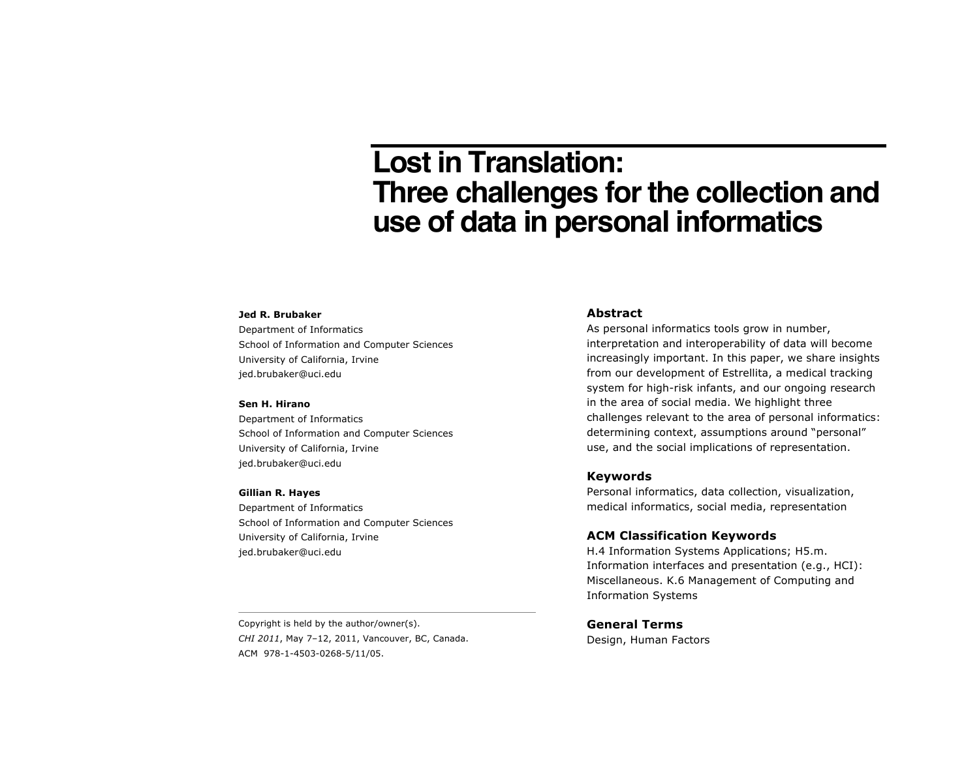# **Lost in Translation: Three challenges for the collection and use of data in personal informatics**

#### **Jed R. Brubaker**

Department of Informatics School of Information and Computer Sciences University of California, Irvine jed.brubaker@uci.edu

#### **Sen H. Hirano**

Department of Informatics School of Information and Computer Sciences University of California, Irvine jed.brubaker@uci.edu

#### **Gillian R. Hayes**

Department of Informatics School of Information and Computer Sciences University of California, Irvine jed.brubaker@uci.edu

### **Abstract**

As personal informatics tools grow in number, interpretation and interoperability of data will become increasingly important. In this paper, we share insights from our development of Estrellita, a medical tracking system for high-risk infants, and our ongoing research in the area of social media. We highlight three challenges relevant to the area of personal informatics: determining context, assumptions around "personal" use, and the social implications of representation.

## **Keywords**

Personal informatics, data collection, visualization, medical informatics, social media, representation

## **ACM Classification Keywords**

H.4 Information Systems Applications; H5.m. Information interfaces and presentation (e.g., HCI): Miscellaneous. K.6 Management of Computing and Information Systems

Copyright is held by the author/owner(s). *CHI 2011*, May 7–12, 2011, Vancouver, BC, Canada. ACM 978-1-4503-0268-5/11/05.

**General Terms**

Design, Human Factors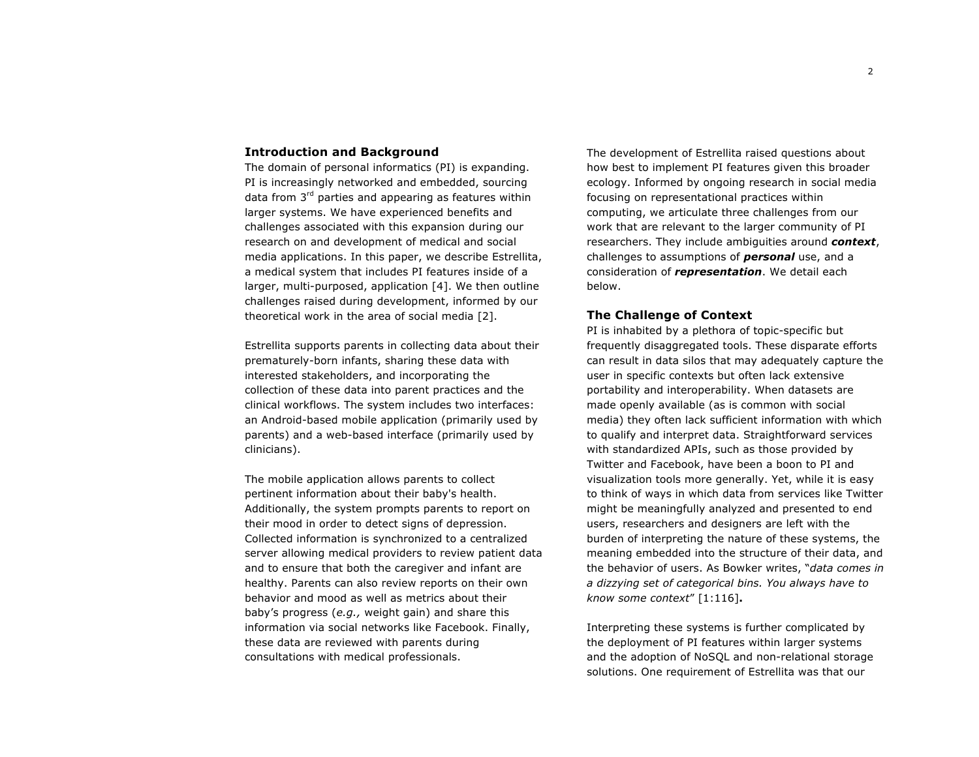## **Introduction and Background**

The domain of personal informatics (PI) is expanding. PI is increasingly networked and embedded, sourcing data from  $3<sup>rd</sup>$  parties and appearing as features within larger systems. We have experienced benefits and challenges associated with this expansion during our research on and development of medical and social media applications. In this paper, we describe Estrellita, a medical system that includes PI features inside of a larger, multi-purposed, application [4]. We then outline challenges raised during development, informed by our theoretical work in the area of social media [2].

Estrellita supports parents in collecting data about their prematurely-born infants, sharing these data with interested stakeholders, and incorporating the collection of these data into parent practices and the clinical workflows. The system includes two interfaces: an Android-based mobile application (primarily used by parents) and a web-based interface (primarily used by clinicians).

The mobile application allows parents to collect pertinent information about their baby's health. Additionally, the system prompts parents to report on their mood in order to detect signs of depression. Collected information is synchronized to a centralized server allowing medical providers to review patient data and to ensure that both the caregiver and infant are healthy. Parents can also review reports on their own behavior and mood as well as metrics about their baby's progress (*e.g.,* weight gain) and share this information via social networks like Facebook. Finally, these data are reviewed with parents during consultations with medical professionals.

The development of Estrellita raised questions about how best to implement PI features given this broader ecology. Informed by ongoing research in social media focusing on representational practices within computing, we articulate three challenges from our work that are relevant to the larger community of PI researchers. They include ambiguities around *context*, challenges to assumptions of *personal* use, and a consideration of *representation*. We detail each below.

## **The Challenge of Context**

PI is inhabited by a plethora of topic-specific but frequently disaggregated tools. These disparate efforts can result in data silos that may adequately capture the user in specific contexts but often lack extensive portability and interoperability. When datasets are made openly available (as is common with social media) they often lack sufficient information with which to qualify and interpret data. Straightforward services with standardized APIs, such as those provided by Twitter and Facebook, have been a boon to PI and visualization tools more generally. Yet, while it is easy to think of ways in which data from services like Twitter might be meaningfully analyzed and presented to end users, researchers and designers are left with the burden of interpreting the nature of these systems, the meaning embedded into the structure of their data, and the behavior of users. As Bowker writes, "*data comes in a dizzying set of categorical bins. You always have to know some context*" [1:116]**.**

Interpreting these systems is further complicated by the deployment of PI features within larger systems and the adoption of NoSQL and non-relational storage solutions. One requirement of Estrellita was that our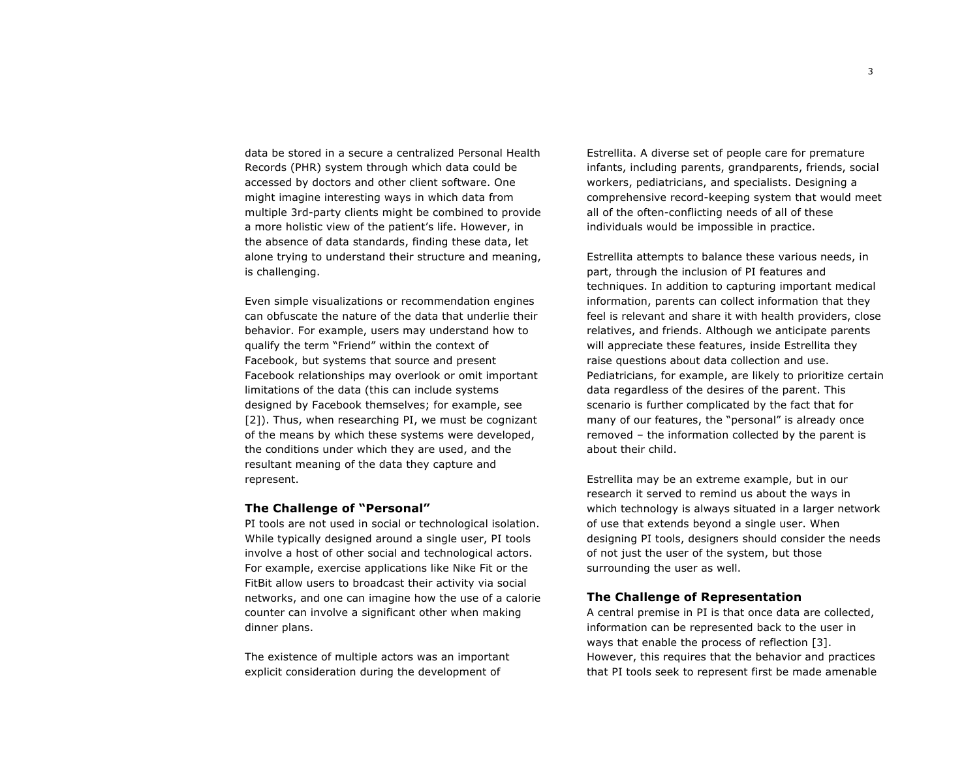data be stored in a secure a centralized Personal Health Records (PHR) system through which data could be accessed by doctors and other client software. One might imagine interesting ways in which data from multiple 3rd-party clients might be combined to provide a more holistic view of the patient's life. However, in the absence of data standards, finding these data, let alone trying to understand their structure and meaning, is challenging.

Even simple visualizations or recommendation engines can obfuscate the nature of the data that underlie their behavior. For example, users may understand how to qualify the term "Friend" within the context of Facebook, but systems that source and present Facebook relationships may overlook or omit important limitations of the data (this can include systems designed by Facebook themselves; for example, see [2]). Thus, when researching PI, we must be cognizant of the means by which these systems were developed, the conditions under which they are used, and the resultant meaning of the data they capture and represent.

#### **The Challenge of "Personal"**

PI tools are not used in social or technological isolation. While typically designed around a single user, PI tools involve a host of other social and technological actors. For example, exercise applications like Nike Fit or the FitBit allow users to broadcast their activity via social networks, and one can imagine how the use of a calorie counter can involve a significant other when making dinner plans.

The existence of multiple actors was an important explicit consideration during the development of

Estrellita. A diverse set of people care for premature infants, including parents, grandparents, friends, social workers, pediatricians, and specialists. Designing a comprehensive record-keeping system that would meet all of the often-conflicting needs of all of these individuals would be impossible in practice.

Estrellita attempts to balance these various needs, in part, through the inclusion of PI features and techniques. In addition to capturing important medical information, parents can collect information that they feel is relevant and share it with health providers, close relatives, and friends. Although we anticipate parents will appreciate these features, inside Estrellita they raise questions about data collection and use. Pediatricians, for example, are likely to prioritize certain data regardless of the desires of the parent. This scenario is further complicated by the fact that for many of our features, the "personal" is already once removed – the information collected by the parent is about their child.

Estrellita may be an extreme example, but in our research it served to remind us about the ways in which technology is always situated in a larger network of use that extends beyond a single user. When designing PI tools, designers should consider the needs of not just the user of the system, but those surrounding the user as well.

## **The Challenge of Representation**

A central premise in PI is that once data are collected, information can be represented back to the user in ways that enable the process of reflection [3]. However, this requires that the behavior and practices that PI tools seek to represent first be made amenable